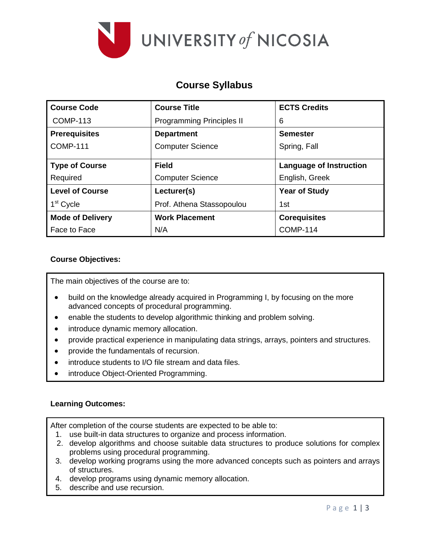

# **Course Syllabus**

| <b>Course Code</b>      | <b>Course Title</b>       | <b>ECTS Credits</b>            |  |
|-------------------------|---------------------------|--------------------------------|--|
| <b>COMP-113</b>         | Programming Principles II | 6                              |  |
| <b>Prerequisites</b>    | <b>Department</b>         | <b>Semester</b>                |  |
| <b>COMP-111</b>         | <b>Computer Science</b>   | Spring, Fall                   |  |
| <b>Type of Course</b>   | <b>Field</b>              | <b>Language of Instruction</b> |  |
| Required                | <b>Computer Science</b>   | English, Greek                 |  |
| <b>Level of Course</b>  | Lecturer(s)               | <b>Year of Study</b>           |  |
| 1 <sup>st</sup> Cycle   | Prof. Athena Stassopoulou | 1st                            |  |
| <b>Mode of Delivery</b> | <b>Work Placement</b>     | <b>Corequisites</b>            |  |
| Face to Face            | N/A                       | <b>COMP-114</b>                |  |

### **Course Objectives:**

The main objectives of the course are to:

- build on the knowledge already acquired in Programming I, by focusing on the more advanced concepts of procedural programming.
- enable the students to develop algorithmic thinking and problem solving.
- introduce dynamic memory allocation.
- provide practical experience in manipulating data strings, arrays, pointers and structures.
- provide the fundamentals of recursion.
- introduce students to I/O file stream and data files.
- introduce Object-Oriented Programming.

#### **Learning Outcomes:**

After completion of the course students are expected to be able to:

- 1. use built-in data structures to organize and process information.
- 2. develop algorithms and choose suitable data structures to produce solutions for complex problems using procedural programming.
- 3. develop working programs using the more advanced concepts such as pointers and arrays of structures.
- 4. develop programs using dynamic memory allocation.
- 5. describe and use recursion.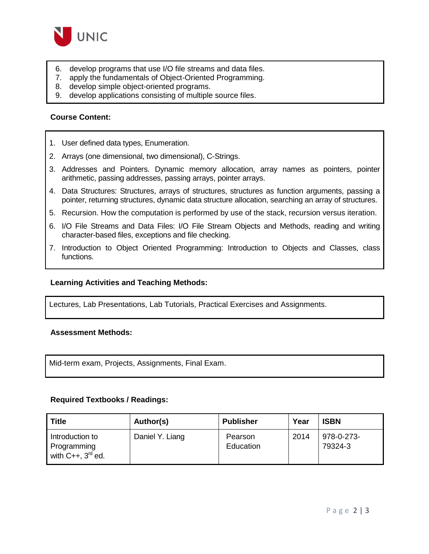

- 6. develop programs that use I/O file streams and data files.
- 7. apply the fundamentals of Object-Oriented Programming.
- 8. develop simple object-oriented programs.
- 9. develop applications consisting of multiple source files.

#### **Course Content:**

- 1. User defined data types, Enumeration.
- 2. Arrays (one dimensional, two dimensional), C-Strings.
- 3. Addresses and Pointers. Dynamic memory allocation, array names as pointers, pointer arithmetic, passing addresses, passing arrays, pointer arrays.
- 4. Data Structures: Structures, arrays of structures, structures as function arguments, passing a pointer, returning structures, dynamic data structure allocation, searching an array of structures.
- 5. Recursion. How the computation is performed by use of the stack, recursion versus iteration.
- 6. I/O File Streams and Data Files: I/O File Stream Objects and Methods, reading and writing character-based files, exceptions and file checking.
- 7. Introduction to Object Oriented Programming: Introduction to Objects and Classes, class functions.

#### **Learning Activities and Teaching Methods:**

Lectures, Lab Presentations, Lab Tutorials, Practical Exercises and Assignments.

#### **Assessment Methods:**

Mid-term exam, Projects, Assignments, Final Exam.

#### **Required Textbooks / Readings:**

| <b>Title</b>                                             | Author(s)       | <b>Publisher</b>     | Year | <b>ISBN</b>           |
|----------------------------------------------------------|-----------------|----------------------|------|-----------------------|
| Introduction to<br>Programming<br>with $C++$ , $3rd$ ed. | Daniel Y. Liang | Pearson<br>Education | 2014 | 978-0-273-<br>79324-3 |